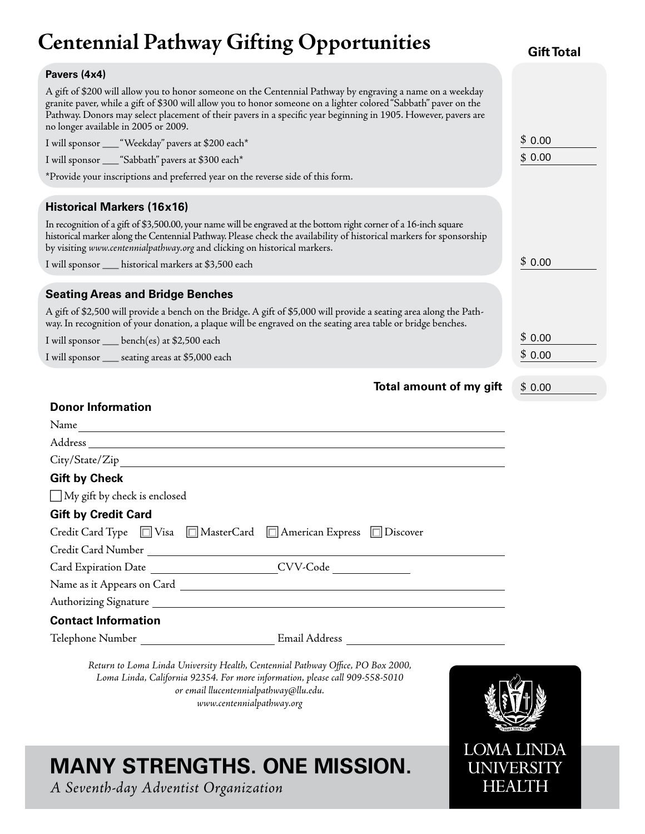# **Centennial Pathway Gifting Opportunities**

**Pavers (4x4)** A gift of \$200 will allow you to honor someone on the Centennial Pathway by engraving a name on a weekday granite paver, while a gift of \$300 will allow you to honor someone on a lighter colored "Sabbath" paver on the Pathway. Donors may select placement of their pavers in a specific year beginning in 1905. However, pavers are no longer available in 2005 or 2009. I will sponsor \_\_\_ "Weekday" pavers at \$200 each\* I will sponsor \_\_\_ "Sabbath" pavers at \$300 each\* \*Provide your inscriptions and preferred year on the reverse side of this form. **Historical Markers (16x16)** In recognition of a gift of \$3,500.00, your name will be engraved at the bottom right corner of a 16-inch square historical marker along the Centennial Pathway. Please check the availability of historical markers for sponsorship by visiting *www.centennialpathway.org* and clicking on historical markers. I will sponsor \_\_\_ historical markers at \$3,500 each **Gift Total Seating Areas and Bridge Benches** A gift of \$2,500 will provide a bench on the Bridge. A gift of \$5,000 will provide a seating area along the Pathway. In recognition of your donation, a plaque will be engraved on the seating area table or bridge benches. I will sponsor \_\_\_ bench(es) at \$2,500 each \$ 0.00 \$ 0.00 \$ 0.00 \$ 0.00

I will sponsor \_\_\_ seating areas at \$5,000 each

|  |  | Total amount of my gift |  |  |  | $\mathfrak{s}$ |
|--|--|-------------------------|--|--|--|----------------|
|--|--|-------------------------|--|--|--|----------------|

| 0.00 |  |
|------|--|
|      |  |

\$ 0.00

#### **Donor Information**

| Name                                                               |               |  |
|--------------------------------------------------------------------|---------------|--|
|                                                                    |               |  |
| City/State/Zip Property City/State/Zip                             |               |  |
| <b>Gift by Check</b>                                               |               |  |
| $\Box$ My gift by check is enclosed                                |               |  |
| <b>Gift by Credit Card</b>                                         |               |  |
| Credit Card Type □ Visa □ MasterCard □ American Express □ Discover |               |  |
| Credit Card Number                                                 |               |  |
| Card Expiration Date                                               | CVV-Code      |  |
|                                                                    |               |  |
| Authorizing Signature                                              |               |  |
| <b>Contact Information</b>                                         |               |  |
| Telephone Number                                                   | Email Address |  |
|                                                                    |               |  |

*Return to Loma Linda University Health, Centennial Pathway Office, PO Box 2000, Loma Linda, California 92354. For more information, please call 909-558-5010 or email llucentennialpathway@llu.edu. www.centennialpathway.org*

## **MANY STRENGTHS. ONE MISSION.**

*A Seventh-day Adventist Organization*